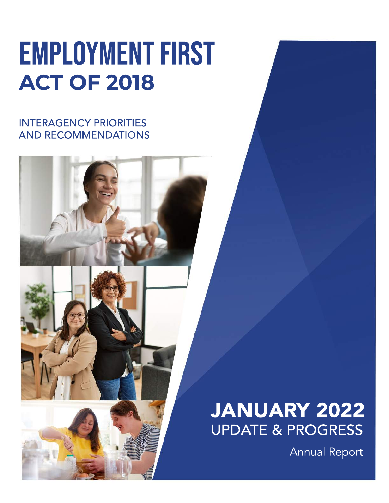# **EMPLOYMENT FIRST ACTOF2018**

### **INTERAGENCY PRIORITIES** AND RECOMMENDATIONS

# JANUARY 2022 UPDATE&PROGRESS

**Annual Report**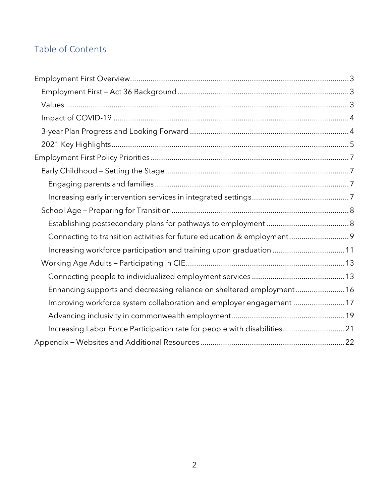#### Table of Contents

| Connecting to transition activities for future education & employment 9  |
|--------------------------------------------------------------------------|
| Increasing workforce participation and training upon graduation 11       |
|                                                                          |
|                                                                          |
| Enhancing supports and decreasing reliance on sheltered employment 16    |
| Improving workforce system collaboration and employer engagement 17      |
|                                                                          |
| Increasing Labor Force Participation rate for people with disabilities21 |
|                                                                          |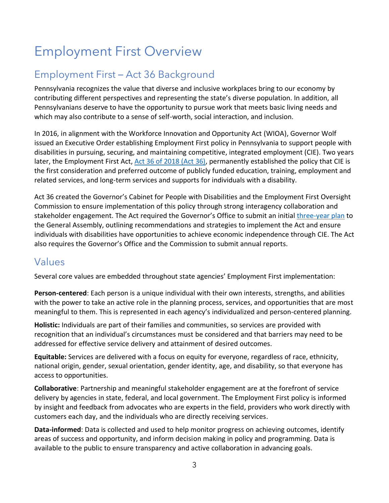# <span id="page-2-0"></span>Employment First Overview

### <span id="page-2-1"></span>Employment First – Act 36 Background

Pennsylvania recognizes the value that diverse and inclusive workplaces bring to our economy by contributing different perspectives and representing the state's diverse population. In addition, all Pennsylvanians deserve to have the opportunity to pursue work that meets basic living needs and which may also contribute to a sense of self-worth, social interaction, and inclusion.

In 2016, in alignment with the Workforce Innovation and Opportunity Act (WIOA), Governor Wolf issued an Executive Order establishing Employment First policy in Pennsylvania to support people with disabilities in pursuing, securing, and maintaining competitive, integrated employment (CIE). Two years later, the Employment First Act, [Act 36](https://www.legis.state.pa.us/cfdocs/legis/li/uconsCheck.cfm?yr=2018&sessInd=0&act=36) of 2018 (Act 36), permanently established the policy that CIE is the first consideration and preferred outcome of publicly funded education, training, employment and related services, and long-term services and supports for individuals with a disability.

Act 36 created the Governor's Cabinet for People with Disabilities and the Employment First Oversight Commission to ensure implementation of this policy through strong interagency collaboration and stakeholder engagement. The Act required the Governor's Office to submit an initial [three-year plan](https://www.dli.pa.gov/Individuals/Disability-Services/Documents/Employment-First-Act-three-year-plan.pdf) to the General Assembly, outlining recommendations and strategies to implement the Act and ensure individuals with disabilities have opportunities to achieve economic independence through CIE. The Act also requires the Governor's Office and the Commission to submit annual reports.

#### <span id="page-2-2"></span>Values

Several core values are embedded throughout state agencies' Employment First implementation:

**Person-centered**: Each person is a unique individual with their own interests, strengths, and abilities with the power to take an active role in the planning process, services, and opportunities that are most meaningful to them. This is represented in each agency's individualized and person-centered planning.

**Holistic:** Individuals are part of their families and communities, so services are provided with recognition that an individual's circumstances must be considered and that barriers may need to be addressed for effective service delivery and attainment of desired outcomes.

**Equitable:** Services are delivered with a focus on equity for everyone, regardless of race, ethnicity, national origin, gender, sexual orientation, gender identity, age, and disability, so that everyone has access to opportunities.

**Collaborative**: Partnership and meaningful stakeholder engagement are at the forefront of service delivery by agencies in state, federal, and local government. The Employment First policy is informed by insight and feedback from advocates who are experts in the field, providers who work directly with customers each day, and the individuals who are directly receiving services.

**Data-informed**: Data is collected and used to help monitor progress on achieving outcomes, identify areas of success and opportunity, and inform decision making in policy and programming. Data is available to the public to ensure transparency and active collaboration in advancing goals.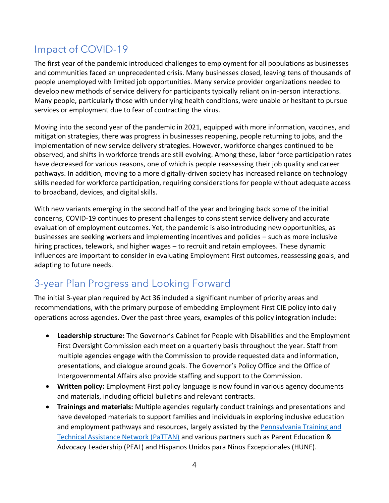### <span id="page-3-0"></span>Impact of COVID-19

The first year of the pandemic introduced challenges to employment for all populations as businesses and communities faced an unprecedented crisis. Many businesses closed, leaving tens of thousands of people unemployed with limited job opportunities. Many service provider organizations needed to develop new methods of service delivery for participants typically reliant on in-person interactions. Many people, particularly those with underlying health conditions, were unable or hesitant to pursue services or employment due to fear of contracting the virus.

Moving into the second year of the pandemic in 2021, equipped with more information, vaccines, and mitigation strategies, there was progress in businesses reopening, people returning to jobs, and the implementation of new service delivery strategies. However, workforce changes continued to be observed, and shifts in workforce trends are still evolving. Among these, labor force participation rates have decreased for various reasons, one of which is people reassessing their job quality and career pathways. In addition, moving to a more digitally-driven society has increased reliance on technology skills needed for workforce participation, requiring considerations for people without adequate access to broadband, devices, and digital skills.

With new variants emerging in the second half of the year and bringing back some of the initial concerns, COVID-19 continues to present challenges to consistent service delivery and accurate evaluation of employment outcomes. Yet, the pandemic is also introducing new opportunities, as businesses are seeking workers and implementing incentives and policies – such as more inclusive hiring practices, telework, and higher wages – to recruit and retain employees. These dynamic influences are important to consider in evaluating Employment First outcomes, reassessing goals, and adapting to future needs.

### <span id="page-3-1"></span>3-year Plan Progress and Looking Forward

The initial 3-year plan required by Act 36 included a significant number of priority areas and recommendations, with the primary purpose of embedding Employment First CIE policy into daily operations across agencies. Over the past three years, examples of this policy integration include:

- **Leadership structure:** The Governor's Cabinet for People with Disabilities and the Employment First Oversight Commission each meet on a quarterly basis throughout the year. Staff from multiple agencies engage with the Commission to provide requested data and information, presentations, and dialogue around goals. The Governor's Policy Office and the Office of Intergovernmental Affairs also provide staffing and support to the Commission.
- **Written policy:** Employment First policy language is now found in various agency documents and materials, including official bulletins and relevant contracts.
- **Trainings and materials:** Multiple agencies regularly conduct trainings and presentations and have developed materials to support families and individuals in exploring inclusive education and employment pathways and resources, largely assisted by the Pennsylvania Training and [Technical Assistance Network \(PaTTAN\)](https://www.pattan.net/) and various partners such as Parent Education & Advocacy Leadership (PEAL) and Hispanos Unidos para Ninos Excepcionales (HUNE).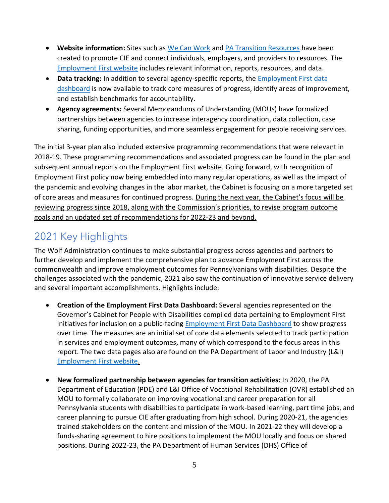- **Website information:** Sites such a[s We Can Work](https://www.dhs.pa.gov/WeCanWork/Pages/WeCanWork.aspx) and [PA Transition Resources](https://www.pasecondarytransition.com/) have been created to promote CIE and connect individuals, employers, and providers to resources. The [Employment First website](https://www.dli.pa.gov/Individuals/Disability-Services/employment-first/Pages/default.aspx) includes relevant information, reports, resources, and data.
- **Data tracking:** In addition to several agency-specific reports, th[e Employment First data](https://data.pa.gov/stories/s/Employment-First-Cabinet-Report-Current-Statewide-/emzf-g28a)  [dashboard](https://data.pa.gov/stories/s/Employment-First-Cabinet-Report-Current-Statewide-/emzf-g28a) is now available to track core measures of progress, identify areas of improvement, and establish benchmarks for accountability.
- **Agency agreements:** Several Memorandums of Understanding (MOUs) have formalized partnerships between agencies to increase interagency coordination, data collection, case sharing, funding opportunities, and more seamless engagement for people receiving services.

The initial 3-year plan also included extensive programming recommendations that were relevant in 2018-19. These programming recommendations and associated progress can be found in the plan and subsequent annual reports on the Employment First website. Going forward, with recognition of Employment First policy now being embedded into many regular operations, as well as the impact of the pandemic and evolving changes in the labor market, the Cabinet is focusing on a more targeted set of core areas and measures for continued progress. During the next year, the Cabinet's focus will be reviewing progress since 2018, along with the Commission's priorities, to revise program outcome goals and an updated set of recommendations for 2022-23 and beyond.

### <span id="page-4-0"></span>2021 Key Highlights

The Wolf Administration continues to make substantial progress across agencies and partners to further develop and implement the comprehensive plan to advance Employment First across the commonwealth and improve employment outcomes for Pennsylvanians with disabilities. Despite the challenges associated with the pandemic, 2021 also saw the continuation of innovative service delivery and several important accomplishments. Highlights include:

- **Creation of the Employment First Data Dashboard:** Several agencies represented on the Governor's Cabinet for People with Disabilities compiled data pertaining to Employment First initiatives for inclusion on a public-facing **Employment First Data Dashboard to show progress** over time. The measures are an initial set of core data elements selected to track participation in services and employment outcomes, many of which correspond to the focus areas in this report. The two data pages also are found on the PA Department of Labor and Industry (L&I) [Employment First website.](https://www.dli.pa.gov/Individuals/Disability-Services/employment-first/Pages/default.aspx)
- **New formalized partnership between agencies for transition activities:** In 2020, the PA Department of Education (PDE) and L&I Office of Vocational Rehabilitation (OVR) established an MOU to formally collaborate on improving vocational and career preparation for all Pennsylvania students with disabilities to participate in work-based learning, part time jobs, and career planning to pursue CIE after graduating from high school. During 2020-21, the agencies trained stakeholders on the content and mission of the MOU. In 2021-22 they will develop a funds-sharing agreement to hire positions to implement the MOU locally and focus on shared positions. During 2022-23, the PA Department of Human Services (DHS) Office of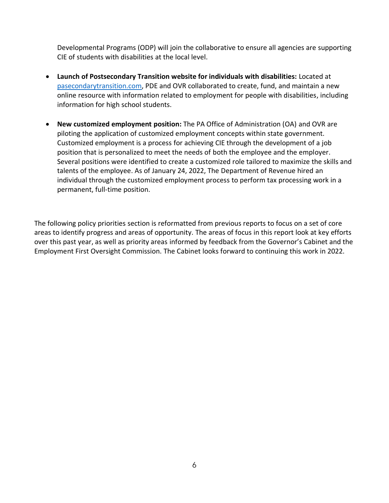Developmental Programs (ODP) will join the collaborative to ensure all agencies are supporting CIE of students with disabilities at the local level.

- **Launch of Postsecondary Transition website for individuals with disabilities:** Located at [pasecondarytransition.com,](https://www.pasecondarytransition.com/) PDE and OVR collaborated to create, fund, and maintain a new online resource with information related to employment for people with disabilities, including information for high school students.
- **New customized employment position:** The PA Office of Administration (OA) and OVR are piloting the application of customized employment concepts within state government. Customized employment is a process for achieving CIE through the development of a job position that is personalized to meet the needs of both the employee and the employer. Several positions were identified to create a customized role tailored to maximize the skills and talents of the employee. As of January 24, 2022, The Department of Revenue hired an individual through the customized employment process to perform tax processing work in a permanent, full-time position.

The following policy priorities section is reformatted from previous reports to focus on a set of core areas to identify progress and areas of opportunity. The areas of focus in this report look at key efforts over this past year, as well as priority areas informed by feedback from the Governor's Cabinet and the Employment First Oversight Commission. The Cabinet looks forward to continuing this work in 2022.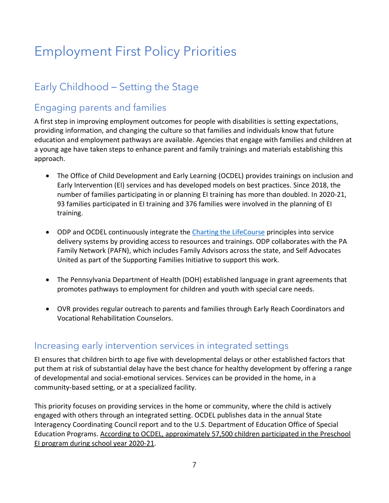# <span id="page-6-0"></span>Employment First Policy Priorities

### <span id="page-6-1"></span>Early Childhood – Setting the Stage

#### <span id="page-6-2"></span>Engaging parents and families

A first step in improving employment outcomes for people with disabilities is setting expectations, providing information, and changing the culture so that families and individuals know that future education and employment pathways are available. Agencies that engage with families and children at a young age have taken steps to enhance parent and family trainings and materials establishing this approach.

- The Office of Child Development and Early Learning (OCDEL) provides trainings on inclusion and Early Intervention (EI) services and has developed models on best practices. Since 2018, the number of families participating in or planning EI training has more than doubled. In 2020-21, 93 families participated in EI training and 376 families were involved in the planning of EI training.
- ODP and OCDEL continuously integrate the [Charting the LifeCourse](http://www.eita-pa.org/course/supporting-families-charting-the-life-course/) principles into service delivery systems by providing access to resources and trainings. ODP collaborates with the PA Family Network (PAFN), which includes Family Advisors across the state, and Self Advocates United as part of the Supporting Families Initiative to support this work.
- The Pennsylvania Department of Health (DOH) established language in grant agreements that promotes pathways to employment for children and youth with special care needs.
- OVR provides regular outreach to parents and families through Early Reach Coordinators and Vocational Rehabilitation Counselors.

#### <span id="page-6-3"></span>Increasing early intervention services in integrated settings

EI ensures that children birth to age five with developmental delays or other established factors that put them at risk of substantial delay have the best chance for healthy development by offering a range of developmental and social-emotional services. Services can be provided in the home, in a community-based setting, or at a specialized facility.

This priority focuses on providing services in the home or community, where the child is actively engaged with others through an integrated setting. OCDEL publishes data in the annual State Interagency Coordinating Council report and to the U.S. Department of Education Office of Special Education Programs. According to OCDEL, approximately 57,500 children participated in the Preschool EI program during school year 2020-21.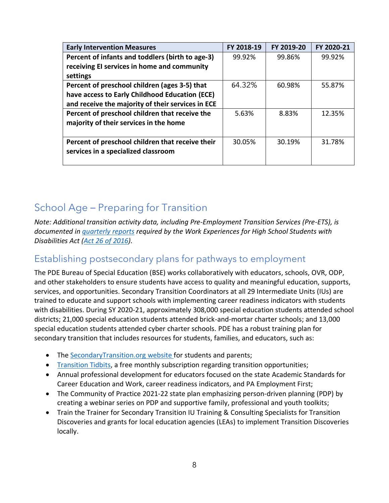| <b>Early Intervention Measures</b>                | FY 2018-19 | FY 2019-20 | FY 2020-21 |
|---------------------------------------------------|------------|------------|------------|
| Percent of infants and toddlers (birth to age-3)  | 99.92%     | 99.86%     | 99.92%     |
| receiving EI services in home and community       |            |            |            |
| settings                                          |            |            |            |
| Percent of preschool children (ages 3-5) that     | 64.32%     | 60.98%     | 55.87%     |
| have access to Early Childhood Education (ECE)    |            |            |            |
| and receive the majority of their services in ECE |            |            |            |
| Percent of preschool children that receive the    | 5.63%      | 8.83%      | 12.35%     |
| majority of their services in the home            |            |            |            |
|                                                   |            |            |            |
| Percent of preschool children that receive their  | 30.05%     | 30.19%     | 31.78%     |
| services in a specialized classroom               |            |            |            |
|                                                   |            |            |            |

### <span id="page-7-0"></span>School Age – Preparing for Transition

*Note: Additional transition activity data, including Pre-Employment Transition Services (Pre-ETS), is documented in [quarterly](https://www.dli.pa.gov/Individuals/Disability-Services/Pages/Act-26-Information.aspx) reports required by the Work Experiences for High School Students with Disabilities Act [\(Act 26 of 2016\)](https://www.legis.state.pa.us/cfdocs/legis/li/uconsCheck.cfm?yr=2016&sessInd=0&act=26).* 

#### <span id="page-7-1"></span>Establishing postsecondary plans for pathways to employment

The PDE Bureau of Special Education (BSE) works collaboratively with educators, schools, OVR, ODP, and other stakeholders to ensure students have access to quality and meaningful education, supports, services, and opportunities. Secondary Transition Coordinators at all 29 Intermediate Units (IUs) are trained to educate and support schools with implementing career readiness indicators with students with disabilities. During SY 2020-21, approximately 308,000 special education students attended school districts; 21,000 special education students attended brick-and-mortar charter schools; and 13,000 special education students attended cyber charter schools. PDE has a robust training plan for secondary transition that includes resources for students, families, and educators, such as:

- The [SecondaryTransition.org w](https://www.pattan.net/graduation-post-secondary-outcomes/educational-initiatives)ebsite for students and parents;
- [Transition Tidbits,](https://smore.com/d1cyk) a free monthly subscription regarding transition opportunities;
- Annual professional development for educators focused on the state Academic Standards for Career Education and Work, career readiness indicators, and PA Employment First;
- The Community of Practice 2021-22 state plan emphasizing person-driven planning (PDP) by creating a webinar series on PDP and supportive family, professional and youth toolkits;
- Train the Trainer for Secondary Transition IU Training & Consulting Specialists for Transition Discoveries and grants for local education agencies (LEAs) to implement Transition Discoveries locally.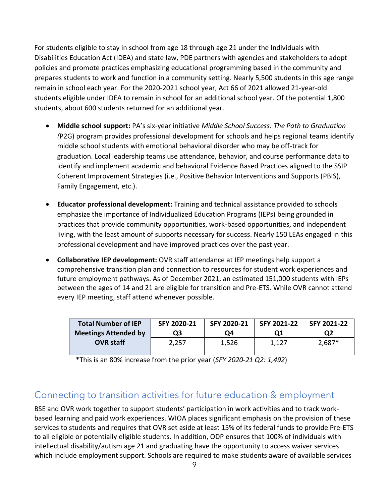For students eligible to stay in school from age 18 through age 21 under the Individuals with Disabilities Education Act (IDEA) and state law, PDE partners with agencies and stakeholders to adopt policies and promote practices emphasizing educational programming based in the community and prepares students to work and function in a community setting. Nearly 5,500 students in this age range remain in school each year. For the 2020-2021 school year, Act 66 of 2021 allowed 21-year-old students eligible under IDEA to remain in school for an additional school year. Of the potential 1,800 students, about 600 students returned for an additional year.

- **Middle school support:** PA's six-year initiative *Middle School Success: The Path to Graduation (*P2G) program provides professional development for schools and helps regional teams identify middle school students with emotional behavioral disorder who may be off-track for graduation. Local leadership teams use attendance, behavior, and course performance data to identify and implement academic and behavioral Evidence Based Practices aligned to the SSIP Coherent Improvement Strategies (i.e., Positive Behavior Interventions and Supports (PBIS), Family Engagement, etc.).
- **Educator professional development:** Training and technical assistance provided to schools emphasize the importance of Individualized Education Programs (IEPs) being grounded in practices that provide community opportunities, work-based opportunities, and independent living, with the least amount of supports necessary for success. Nearly 150 LEAs engaged in this professional development and have improved practices over the past year.
- **Collaborative IEP development:** OVR staff attendance at IEP meetings help support a comprehensive transition plan and connection to resources for student work experiences and future employment pathways. As of December 2021, an estimated 151,000 students with IEPs between the ages of 14 and 21 are eligible for transition and Pre-ETS. While OVR cannot attend every IEP meeting, staff attend whenever possible.

| <b>Total Number of IEP</b>  | SFY 2020-21 | SFY 2020-21 | SFY 2021-22 | SFY 2021-22 |
|-----------------------------|-------------|-------------|-------------|-------------|
| <b>Meetings Attended by</b> | Q3          | Ο4          | Ο1          | Q2          |
| <b>OVR staff</b>            | 2.257       | 1,526       | 1,127       | $2,687*$    |

\*This is an 80% increase from the prior year (*SFY 2020-21 Q2: 1,492*)

#### <span id="page-8-0"></span>Connecting to transition activities for future education & employment

BSE and OVR work together to support students' participation in work activities and to track workbased learning and paid work experiences. WIOA places significant emphasis on the provision of these services to students and requires that OVR set aside at least 15% of its federal funds to provide Pre-ETS to all eligible or potentially eligible students. In addition, ODP ensures that 100% of individuals with intellectual disability/autism age 21 and graduating have the opportunity to access waiver services which include employment support. Schools are required to make students aware of available services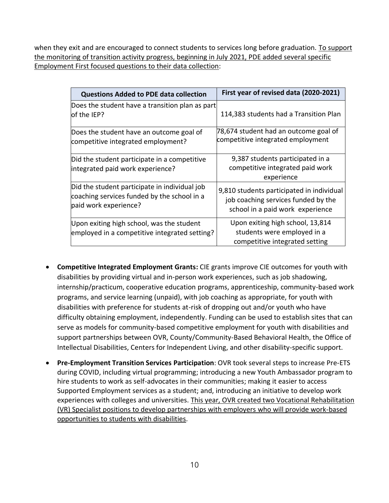when they exit and are encouraged to connect students to services long before graduation. To support the monitoring of transition activity progress, beginning in July 2021, PDE added several specific Employment First focused questions to their data collection:

| <b>Questions Added to PDE data collection</b>                                                                         | First year of revised data (2020-2021)                                                                               |
|-----------------------------------------------------------------------------------------------------------------------|----------------------------------------------------------------------------------------------------------------------|
| Does the student have a transition plan as part<br>lof the IEP?                                                       | 114,383 students had a Transition Plan                                                                               |
| Does the student have an outcome goal of<br>competitive integrated employment?                                        | 78,674 student had an outcome goal of<br>competitive integrated employment                                           |
| Did the student participate in a competitive<br>integrated paid work experience?                                      | 9,387 students participated in a<br>competitive integrated paid work<br>experience                                   |
| Did the student participate in individual job<br>coaching services funded by the school in a<br>paid work experience? | 9,810 students participated in individual<br>job coaching services funded by the<br>school in a paid work experience |
| Upon exiting high school, was the student<br>employed in a competitive integrated setting?                            | Upon exiting high school, 13,814<br>students were employed in a<br>competitive integrated setting                    |

- **Competitive Integrated Employment Grants:** CIE grants improve CIE outcomes for youth with disabilities by providing virtual and in-person work experiences, such as job shadowing, internship/practicum, cooperative education programs, apprenticeship, community-based work programs, and service learning (unpaid), with job coaching as appropriate, for youth with disabilities with preference for students at-risk of dropping out and/or youth who have difficulty obtaining employment, independently. Funding can be used to establish sites that can serve as models for community-based competitive employment for youth with disabilities and support partnerships between OVR, County/Community-Based Behavioral Health, the Office of Intellectual Disabilities, Centers for Independent Living, and other disability-specific support.
- **Pre-Employment Transition Services Participation**: OVR took several steps to increase Pre-ETS during COVID, including virtual programming; introducing a new Youth Ambassador program to hire students to work as self-advocates in their communities; making it easier to access Supported Employment services as a student; and, introducing an initiative to develop work experiences with colleges and universities. This year, OVR created two Vocational Rehabilitation (VR) Specialist positions to develop partnerships with employers who will provide work-based opportunities to students with disabilities.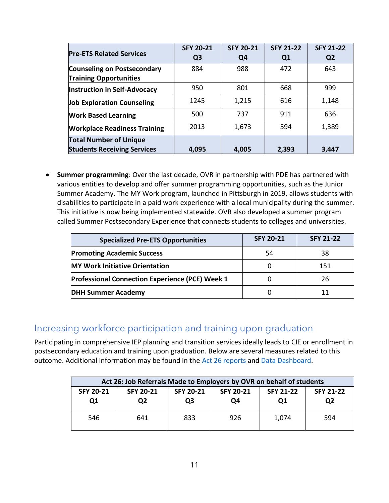| <b>Pre-ETS Related Services</b>                                     | <b>SFY 20-21</b><br>Q <sub>3</sub> | <b>SFY 20-21</b><br>Q4 | <b>SFY 21-22</b><br>Q <sub>1</sub> | <b>SFY 21-22</b><br>Q <sub>2</sub> |
|---------------------------------------------------------------------|------------------------------------|------------------------|------------------------------------|------------------------------------|
| <b>Counseling on Postsecondary</b><br><b>Training Opportunities</b> | 884                                | 988                    | 472                                | 643                                |
| Instruction in Self-Advocacy                                        | 950                                | 801                    | 668                                | 999                                |
| <b>Job Exploration Counseling</b>                                   | 1245                               | 1,215                  | 616                                | 1,148                              |
| <b>Work Based Learning</b>                                          | 500                                | 737                    | 911                                | 636                                |
| <b>Workplace Readiness Training</b>                                 | 2013                               | 1,673                  | 594                                | 1,389                              |
| <b>Total Number of Unique</b><br><b>Students Receiving Services</b> | 4,095                              | 4,005                  | 2,393                              | 3,447                              |

• **Summer programming**: Over the last decade, OVR in partnership with PDE has partnered with various entities to develop and offer summer programming opportunities, such as the Junior Summer Academy. The MY Work program, launched in Pittsburgh in 2019, allows students with disabilities to participate in a paid work experience with a local municipality during the summer. This initiative is now being implemented statewide. OVR also developed a summer program called Summer Postsecondary Experience that connects students to colleges and universities.

| <b>Specialized Pre-ETS Opportunities</b>               | <b>SFY 20-21</b> | <b>SFY 21-22</b> |
|--------------------------------------------------------|------------------|------------------|
| <b>Promoting Academic Success</b>                      | 54               | 38               |
| <b>MY Work Initiative Orientation</b>                  |                  | 151              |
| <b>Professional Connection Experience (PCE) Week 1</b> |                  | 26               |
| <b>DHH Summer Academy</b>                              |                  |                  |

#### <span id="page-10-0"></span>Increasing workforce participation and training upon graduation

Participating in comprehensive IEP planning and transition services ideally leads to CIE or enrollment in postsecondary education and training upon graduation. Below are several measures related to this outcome. Additional information may be found in the [Act 26 reports](https://www.dli.pa.gov/Individuals/Disability-Services/Pages/Act-26-Information.aspx) and [Data Dashboard.](https://data.pa.gov/stories/s/Employment-First-Cabinet-Report-Current-Statewide-/emzf-g28a)

| Act 26: Job Referrals Made to Employers by OVR on behalf of students |                               |                        |                        |                        |                        |  |  |
|----------------------------------------------------------------------|-------------------------------|------------------------|------------------------|------------------------|------------------------|--|--|
| <b>SFY 20-21</b><br>Q1                                               | <b>SFY 20-21</b><br><b>O2</b> | <b>SFY 20-21</b><br>O3 | <b>SFY 20-21</b><br>O4 | <b>SFY 21-22</b><br>Q1 | <b>SFY 21-22</b><br>Q2 |  |  |
| 546                                                                  | 641                           | 833                    | 926                    | 1,074                  | 594                    |  |  |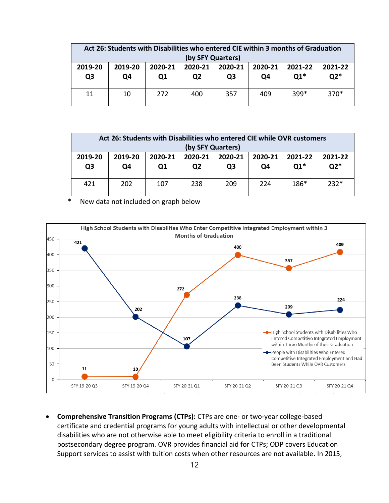| Act 26: Students with Disabilities who entered CIE within 3 months of Graduation<br>(by SFY Quarters) |               |                           |                           |               |               |                  |                  |
|-------------------------------------------------------------------------------------------------------|---------------|---------------------------|---------------------------|---------------|---------------|------------------|------------------|
| 2019-20<br>Q <sub>3</sub>                                                                             | 2019-20<br>Q4 | 2020-21<br>Q <sub>1</sub> | 2020-21<br>Q <sub>2</sub> | 2020-21<br>Q3 | 2020-21<br>O4 | 2021-22<br>$Q1*$ | 2021-22<br>$Q2*$ |
| 11                                                                                                    | 10            | 272                       | 400                       | 357           | 409           | $399*$           | $370*$           |

| Act 26: Students with Disabilities who entered CIE while OVR customers               |     |     |                |     |     |        |        |  |
|--------------------------------------------------------------------------------------|-----|-----|----------------|-----|-----|--------|--------|--|
| (by SFY Quarters)                                                                    |     |     |                |     |     |        |        |  |
| 2019-20<br>2020-21<br>2019-20<br>2020-21<br>2020-21<br>2020-21<br>2021-22<br>2021-22 |     |     |                |     |     |        |        |  |
| Q <sub>3</sub>                                                                       | Q4  | 01  | Q <sub>2</sub> | Q3  | Q4  | $Q1*$  | $Q2*$  |  |
|                                                                                      |     |     |                |     |     |        |        |  |
| 421                                                                                  | 202 | 107 | 238            | 209 | 224 | $186*$ | $232*$ |  |
|                                                                                      |     |     |                |     |     |        |        |  |

\* New data not included on graph below



• **Comprehensive Transition Programs (CTPs):** CTPs are one- or two-year college-based certificate and credential programs for young adults with intellectual or other developmental disabilities who are not otherwise able to meet eligibility criteria to enroll in a traditional postsecondary degree program. OVR provides financial aid for CTPs; ODP covers Education Support services to assist with tuition costs when other resources are not available. In 2015,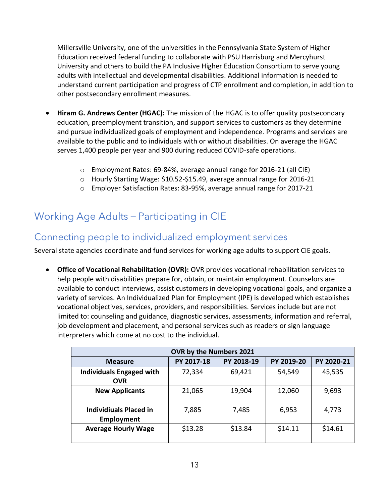Millersville University, one of the universities in the Pennsylvania State System of Higher Education received federal funding to collaborate with PSU Harrisburg and Mercyhurst University and others to build the PA Inclusive Higher Education Consortium to serve young adults with intellectual and developmental disabilities. Additional information is needed to understand current participation and progress of CTP enrollment and completion, in addition to other postsecondary enrollment measures.

- **Hiram G. Andrews Center (HGAC):** The mission of the HGAC is to offer quality postsecondary education, preemployment transition, and support services to customers as they determine and pursue individualized goals of employment and independence. Programs and services are available to the public and to individuals with or without disabilities. On average the HGAC serves 1,400 people per year and 900 during reduced COVID-safe operations.
	- o Employment Rates: 69-84%, average annual range for 2016-21 (all CIE)
	- o Hourly Starting Wage: \$10.52-\$15.49, average annual range for 2016-21
	- o Employer Satisfaction Rates: 83-95%, average annual range for 2017-21

### <span id="page-12-0"></span>Working Age Adults – Participating in CIE

#### <span id="page-12-1"></span>Connecting people to individualized employment services

Several state agencies coordinate and fund services for working age adults to support CIE goals.

• **Office of Vocational Rehabilitation (OVR):** OVR provides vocational rehabilitation services to help people with disabilities prepare for, obtain, or maintain employment. Counselors are available to conduct interviews, assist customers in developing vocational goals, and organize a variety of services. An Individualized Plan for Employment (IPE) is developed which establishes vocational objectives, services, providers, and responsibilities. Services include but are not limited to: counseling and guidance, diagnostic services, assessments, information and referral, job development and placement, and personal services such as readers or sign language interpreters which come at no cost to the individual.

| <b>OVR by the Numbers 2021</b>                                         |         |         |         |         |  |  |  |  |
|------------------------------------------------------------------------|---------|---------|---------|---------|--|--|--|--|
| PY 2018-19<br>PY 2017-18<br>PY 2019-20<br>PY 2020-21<br><b>Measure</b> |         |         |         |         |  |  |  |  |
| <b>Individuals Engaged with</b><br><b>OVR</b>                          | 72,334  | 69,421  | 54,549  | 45,535  |  |  |  |  |
| <b>New Applicants</b>                                                  | 21,065  | 19,904  | 12,060  | 9,693   |  |  |  |  |
| <b>Individiuals Placed in</b><br><b>Employment</b>                     | 7,885   | 7,485   | 6,953   | 4,773   |  |  |  |  |
| <b>Average Hourly Wage</b>                                             | \$13.28 | \$13.84 | \$14.11 | \$14.61 |  |  |  |  |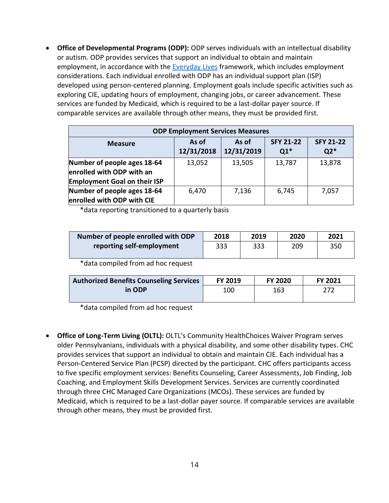• **Office of Developmental Programs (ODP):** ODP serves individuals with an intellectual disability or autism. ODP provides services that support an individual to obtain and maintain employment, in accordance with the [Everyday Lives](https://www.dhs.pa.gov/Services/Disabilities-Aging/Documents/Everyday%20Lives/Everyday%20Lives%CB%90%20Values%20In%20Action%20(c_241391).pdf) framework, which includes employment considerations. Each individual enrolled with ODP has an individual support plan (ISP) developed using person-centered planning. Employment goals include specific activities such as exploring CIE, updating hours of employment, changing jobs, or career advancement. These services are funded by Medicaid, which is required to be a last-dollar payer source. If comparable services are available through other means, they must be provided first.

| <b>ODP Employment Services Measures</b>                                                                                |        |        |        |        |  |  |  |
|------------------------------------------------------------------------------------------------------------------------|--------|--------|--------|--------|--|--|--|
| <b>SFY 21-22</b><br><b>SFY 21-22</b><br>As of<br>As of<br><b>Measure</b><br>12/31/2019<br>12/31/2018<br>$Q1*$<br>$Q2*$ |        |        |        |        |  |  |  |
| Number of people ages 18-64<br>enrolled with ODP with an<br><b>Employment Goal on their ISP</b>                        | 13,052 | 13,505 | 13,787 | 13,878 |  |  |  |
| Number of people ages 18-64<br>enrolled with ODP with CIE                                                              | 6,470  | 7,136  | 6,745  | 7,057  |  |  |  |

\*data reporting transitioned to a quarterly basis

| Number of people enrolled with ODP | 2018 | 2019 | 2020 | 2021 |
|------------------------------------|------|------|------|------|
| reporting self-employment          | 333  | 333  | 209  | 350  |
|                                    |      |      |      |      |

\*data compiled from ad hoc request

| Authorized Benefits Counseling Services | <b>FY 2019</b> | <b>FY 2020</b> | <b>FY 2021</b> |
|-----------------------------------------|----------------|----------------|----------------|
| in ODP                                  | 100            | 163            | 272            |
|                                         |                |                |                |

\*data compiled from ad hoc request

• **Office of Long-Term Living (OLTL):** OLTL's Community HealthChoices Waiver Program serves older Pennsylvanians, individuals with a physical disability, and some other disability types. CHC provides services that support an individual to obtain and maintain CIE. Each individual has a Person-Centered Service Plan (PCSP) directed by the participant. CHC offers participants access to five specific employment services: Benefits Counseling, Career Assessments, Job Finding, Job Coaching, and Employment Skills Development Services. Services are currently coordinated through three CHC Managed Care Organizations (MCOs). These services are funded by Medicaid, which is required to be a last-dollar payer source. If comparable services are available through other means, they must be provided first.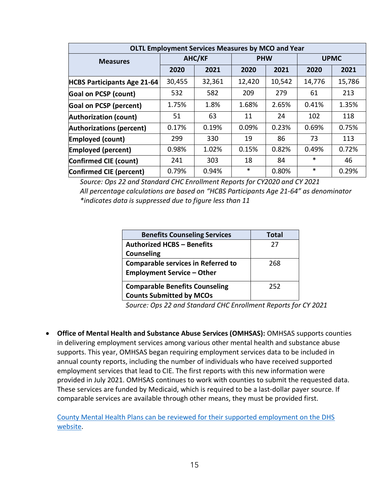| <b>OLTL Employment Services Measures by MCO and Year</b> |        |        |            |        |             |        |
|----------------------------------------------------------|--------|--------|------------|--------|-------------|--------|
| <b>Measures</b>                                          | AHC/KF |        | <b>PHW</b> |        | <b>UPMC</b> |        |
|                                                          | 2020   | 2021   | 2020       | 2021   | 2020        | 2021   |
| <b>HCBS Participants Age 21-64</b>                       | 30,455 | 32,361 | 12,420     | 10,542 | 14,776      | 15,786 |
| <b>Goal on PCSP (count)</b>                              | 532    | 582    | 209        | 279    | 61          | 213    |
| <b>Goal on PCSP (percent)</b>                            | 1.75%  | 1.8%   | 1.68%      | 2.65%  | 0.41%       | 1.35%  |
| <b>Authorization (count)</b>                             | 51     | 63     | 11         | 24     | 102         | 118    |
| <b>Authorizations (percent)</b>                          | 0.17%  | 0.19%  | 0.09%      | 0.23%  | 0.69%       | 0.75%  |
| <b>Employed (count)</b>                                  | 299    | 330    | 19         | 86     | 73          | 113    |
| <b>Employed (percent)</b>                                | 0.98%  | 1.02%  | 0.15%      | 0.82%  | 0.49%       | 0.72%  |
| Confirmed CIE (count)                                    | 241    | 303    | 18         | 84     | $\ast$      | 46     |
| Confirmed CIE (percent)                                  | 0.79%  | 0.94%  | *          | 0.80%  | $\ast$      | 0.29%  |

*Source: Ops 22 and Standard CHC Enrollment Reports for CY2020 and CY 2021 All percentage calculations are based on "HCBS Participants Age 21-64" as denominator \*indicates data is suppressed due to figure less than 11*

| <b>Benefits Counseling Services</b>       | Total |
|-------------------------------------------|-------|
| <b>Authorized HCBS - Benefits</b>         | 27    |
| <b>Counseling</b>                         |       |
| <b>Comparable services in Referred to</b> | 268   |
| <b>Employment Service - Other</b>         |       |
| <b>Comparable Benefits Counseling</b>     | 252   |
| <b>Counts Submitted by MCOs</b>           |       |

*Source: Ops 22 and Standard CHC Enrollment Reports for CY 2021*

• **Office of Mental Health and Substance Abuse Services (OMHSAS):** OMHSAS supports counties in delivering employment services among various other mental health and substance abuse supports. This year, OMHSAS began requiring employment services data to be included in annual county reports, including the number of individuals who have received supported employment services that lead to CIE. The first reports with this new information were provided in July 2021. OMHSAS continues to work with counties to submit the requested data. These services are funded by Medicaid, which is required to be a last-dollar payer source. If comparable services are available through other means, they must be provided first.

[County Mental Health Plans can be reviewed for their supported employment on the DHS](https://www.dhs.pa.gov/docs/Block-Grants/Pages/Block-Grant-County-Reports.aspx)  [website.](https://www.dhs.pa.gov/docs/Block-Grants/Pages/Block-Grant-County-Reports.aspx)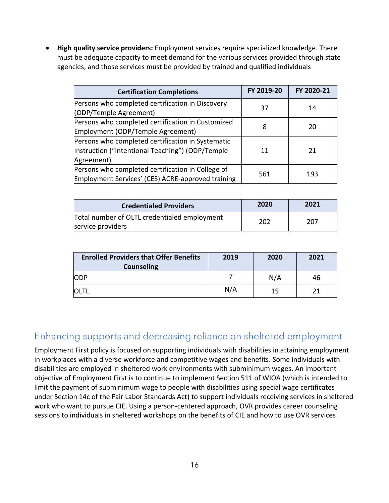• **High quality service providers:** Employment services require specialized knowledge. There must be adequate capacity to meet demand for the various services provided through state agencies, and those services must be provided by trained and qualified individuals

| <b>Certification Completions</b>                                                                                    | FY 2019-20 | FY 2020-21 |
|---------------------------------------------------------------------------------------------------------------------|------------|------------|
| Persons who completed certification in Discovery<br>(ODP/Temple Agreement)                                          | 37         | 14         |
| Persons who completed certification in Customized<br>Employment (ODP/Temple Agreement)                              | 8          | 20         |
| Persons who completed certification in Systematic<br>Instruction ("Intentional Teaching") (ODP/Temple<br>Agreement) | 11         | 21         |
| Persons who completed certification in College of<br>Employment Services' (CES) ACRE-approved training              | 561        | 193        |

| <b>Credentialed Providers</b>                                     | 2020 | 2021 |
|-------------------------------------------------------------------|------|------|
| Total number of OLTL credentialed employment<br>service providers | 202  | 207  |

| <b>Enrolled Providers that Offer Benefits</b><br><b>Counseling</b> | 2019 | 2020 | 2021 |
|--------------------------------------------------------------------|------|------|------|
| <b>ODP</b>                                                         |      | N/A  | 46   |
| OLTI                                                               | N/A  | 15   |      |

#### <span id="page-15-0"></span>Enhancing supports and decreasing reliance on sheltered employment

Employment First policy is focused on supporting individuals with disabilities in attaining employment in workplaces with a diverse workforce and competitive wages and benefits. Some individuals with disabilities are employed in sheltered work environments with subminimum wages. An important objective of Employment First is to continue to implement Section 511 of WIOA (which is intended to limit the payment of subminimum wage to people with disabilities using special wage certificates under Section 14c of the Fair Labor Standards Act) to support individuals receiving services in sheltered work who want to pursue CIE. Using a person-centered approach, OVR provides career counseling sessions to individuals in sheltered workshops on the benefits of CIE and how to use OVR services.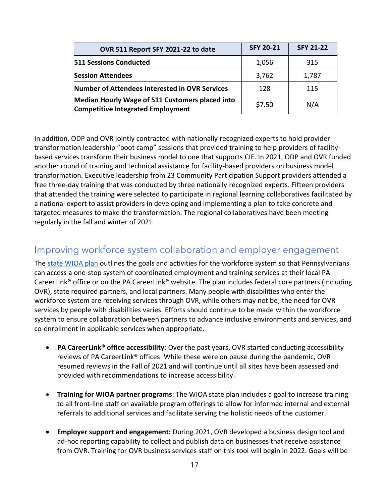| OVR 511 Report SFY 2021-22 to date                                                          | <b>SFY 20-21</b> | <b>SFY 21-22</b> |
|---------------------------------------------------------------------------------------------|------------------|------------------|
| <b>511 Sessions Conducted</b>                                                               | 1,056            | 315              |
| <b>Session Attendees</b>                                                                    | 3,762            | 1,787            |
| Number of Attendees Interested in OVR Services                                              | 128              | 115              |
| Median Hourly Wage of 511 Customers placed into<br><b>Competitive Integrated Employment</b> | \$7.50           | N/A              |

In addition, ODP and OVR jointly contracted with nationally recognized experts to hold provider transformation leadership "boot camp" sessions that provided training to help providers of facilitybased services transform their business model to one that supports CIE. In 2021, ODP and OVR funded another round of training and technical assistance for facility-based providers on business model transformation. Executive leadership from 23 Community Participation Support providers attended a free three-day training that was conducted by three nationally recognized experts. Fifteen providers that attended the training were selected to participate in regional learning collaboratives facilitated by a national expert to assist providers in developing and implementing a plan to take concrete and targeted measures to make the transformation. The regional collaboratives have been meeting regularly in the fall and winter of 2021

#### <span id="page-16-0"></span>Improving workforce system collaboration and employer engagement

The [state WIOA plan](https://www.dli.pa.gov/Businesses/Workforce-Development/Documents/wioa/2020-WIOA-State-Plan.pdf) outlines the goals and activities for the workforce system so that Pennsylvanians can access a one-stop system of coordinated employment and training services at their local PA CareerLink® office or on the PA CareerLink® website. The plan includes federal core partners (including OVR), state required partners, and local partners. Many people with disabilities who enter the workforce system are receiving services through OVR, while others may not be; the need for OVR services by people with disabilities varies. Efforts should continue to be made within the workforce system to ensure collaboration between partners to advance inclusive environments and services, and co-enrollment in applicable services when appropriate.

- **PA CareerLink® office accessibility**: Over the past years, OVR started conducting accessibility reviews of PA CareerLink® offices. While these were on pause during the pandemic, OVR resumed reviews in the Fall of 2021 and will continue until all sites have been assessed and provided with recommendations to increase accessibility.
- **Training for WIOA partner programs**: The WIOA state plan includes a goal to increase training to all front-line staff on available program offerings to allow for informed internal and external referrals to additional services and facilitate serving the holistic needs of the customer.
- **Employer support and engagement:** During 2021, OVR developed a business design tool and ad-hoc reporting capability to collect and publish data on businesses that receive assistance from OVR. Training for OVR business services staff on this tool will begin in 2022. Goals will be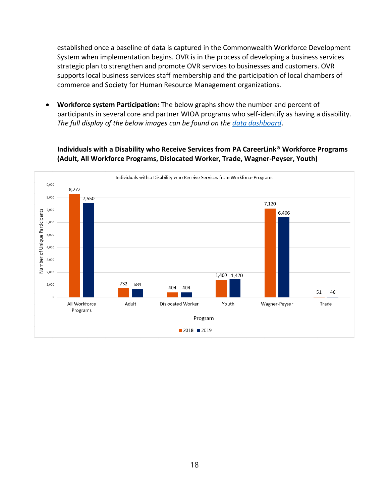established once a baseline of data is captured in the Commonwealth Workforce Development System when implementation begins. OVR is in the process of developing a business services strategic plan to strengthen and promote OVR services to businesses and customers. OVR supports local business services staff membership and the participation of local chambers of commerce and Society for Human Resource Management organizations.

• **Workforce system Participation:** The below graphs show the number and percent of participants in several core and partner WIOA programs who self-identify as having a disability. *The full display of the below images can be found on the [data dashboard](https://data.pa.gov/stories/s/Employment-First-Cabinet-Report-Current-Statewide-/emzf-g28a)*.

**Individuals with a Disability who Receive Services from PA CareerLink® Workforce Programs (Adult, All Workforce Programs, Dislocated Worker, Trade, Wagner-Peyser, Youth)**

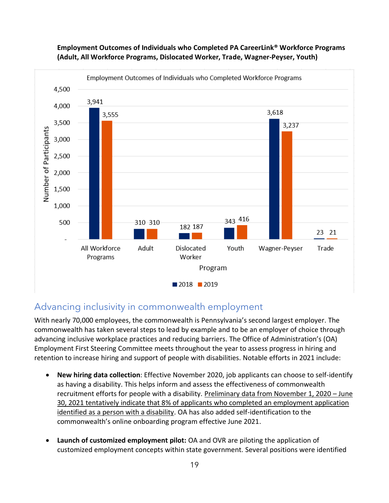

#### **Employment Outcomes of Individuals who Completed PA CareerLink® Workforce Programs (Adult, All Workforce Programs, Dislocated Worker, Trade, Wagner-Peyser, Youth)**

#### <span id="page-18-0"></span>Advancing inclusivity in commonwealth employment

With nearly 70,000 employees, the commonwealth is Pennsylvania's second largest employer. The commonwealth has taken several steps to lead by example and to be an employer of choice through advancing inclusive workplace practices and reducing barriers. The Office of Administration's (OA) Employment First Steering Committee meets throughout the year to assess progress in hiring and retention to increase hiring and support of people with disabilities. Notable efforts in 2021 include:

- **New hiring data collection**: Effective November 2020, job applicants can choose to self-identify as having a disability. This helps inform and assess the effectiveness of commonwealth recruitment efforts for people with a disability. Preliminary data from November 1, 2020 – June 30, 2021 tentatively indicate that 8% of applicants who completed an employment application identified as a person with a disability. OA has also added self-identification to the commonwealth's online onboarding program effective June 2021.
- **Launch of customized employment pilot:** OA and OVR are piloting the application of customized employment concepts within state government. Several positions were identified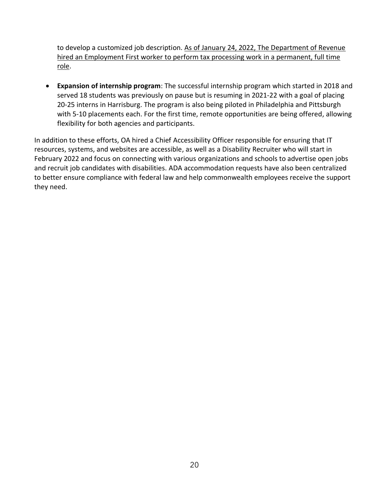to develop a customized job description. As of January 24, 2022, The Department of Revenue hired an Employment First worker to perform tax processing work in a permanent, full time role.

• **Expansion of internship program**: The successful internship program which started in 2018 and served 18 students was previously on pause but is resuming in 2021-22 with a goal of placing 20-25 interns in Harrisburg. The program is also being piloted in Philadelphia and Pittsburgh with 5-10 placements each. For the first time, remote opportunities are being offered, allowing flexibility for both agencies and participants.

In addition to these efforts, OA hired a Chief Accessibility Officer responsible for ensuring that IT resources, systems, and websites are accessible, as well as a Disability Recruiter who will start in February 2022 and focus on connecting with various organizations and schools to advertise open jobs and recruit job candidates with disabilities. ADA accommodation requests have also been centralized to better ensure compliance with federal law and help commonwealth employees receive the support they need.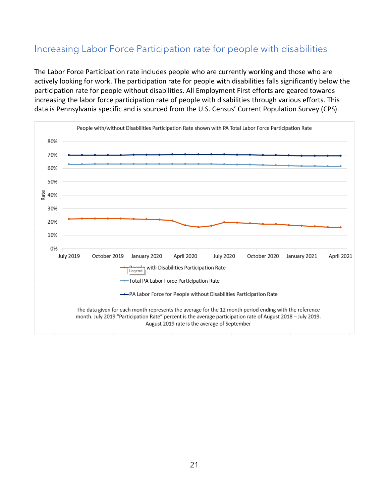#### <span id="page-20-0"></span>Increasing Labor Force Participation rate for people with disabilities

The Labor Force Participation rate includes people who are currently working and those who are actively looking for work. The participation rate for people with disabilities falls significantly below the participation rate for people without disabilities. All Employment First efforts are geared towards increasing the labor force participation rate of people with disabilities through various efforts. This data is Pennsylvania specific and is sourced from the U.S. Census' Current Population Survey (CPS).